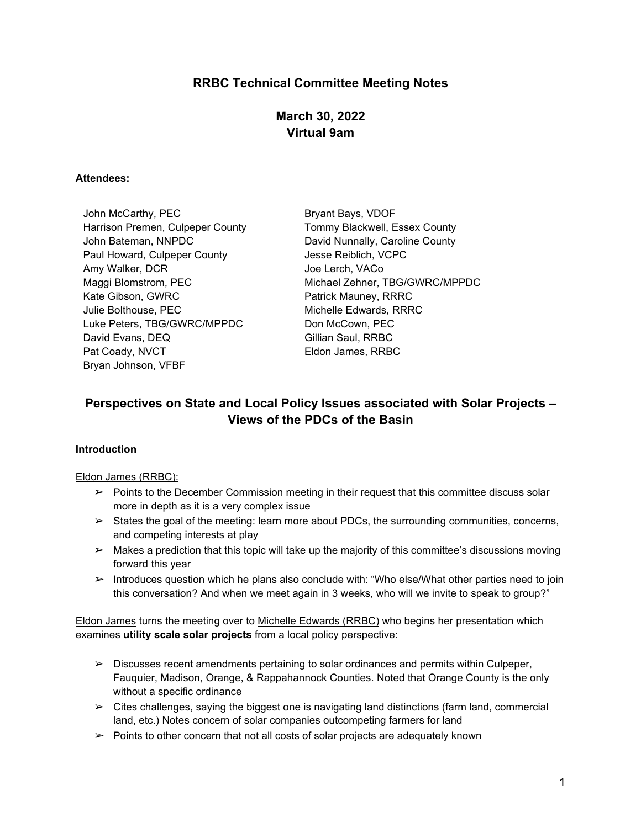### **RRBC Technical Committee Meeting Notes**

# **March 30, 2022 Virtual 9am**

#### **Attendees:**

John McCarthy, PEC Harrison Premen, Culpeper County John Bateman, NNPDC Paul Howard, Culpeper County Amy Walker, DCR Maggi Blomstrom, PEC Kate Gibson, GWRC Julie Bolthouse, PEC Luke Peters, TBG/GWRC/MPPDC David Evans, DEQ Pat Coady, NVCT Bryan Johnson, VFBF

Bryant Bays, VDOF Tommy Blackwell, Essex County David Nunnally, Caroline County Jesse Reiblich, VCPC Joe Lerch, VACo Michael Zehner, TBG/GWRC/MPPDC Patrick Mauney, RRRC Michelle Edwards, RRRC Don McCown, PEC Gillian Saul, RRBC Eldon James, RRBC

## **Perspectives on State and Local Policy Issues associated with Solar Projects – Views of the PDCs of the Basin**

#### **Introduction**

Eldon James (RRBC):

- $\triangleright$  Points to the December Commission meeting in their request that this committee discuss solar more in depth as it is a very complex issue
- $\triangleright$  States the goal of the meeting: learn more about PDCs, the surrounding communities, concerns, and competing interests at play
- $\triangleright$  Makes a prediction that this topic will take up the majority of this committee's discussions moving forward this year
- $\triangleright$  Introduces question which he plans also conclude with: "Who else/What other parties need to join this conversation? And when we meet again in 3 weeks, who will we invite to speak to group?"

Eldon James turns the meeting over to Michelle Edwards (RRBC) who begins her presentation which examines **utility scale solar projects** from a local policy perspective:

- $\triangleright$  Discusses recent amendments pertaining to solar ordinances and permits within Culpeper, Fauquier, Madison, Orange, & Rappahannock Counties. Noted that Orange County is the only without a specific ordinance
- $\triangleright$  Cites challenges, saying the biggest one is navigating land distinctions (farm land, commercial land, etc.) Notes concern of solar companies outcompeting farmers for land
- ➢ Points to other concern that not all costs of solar projects are adequately known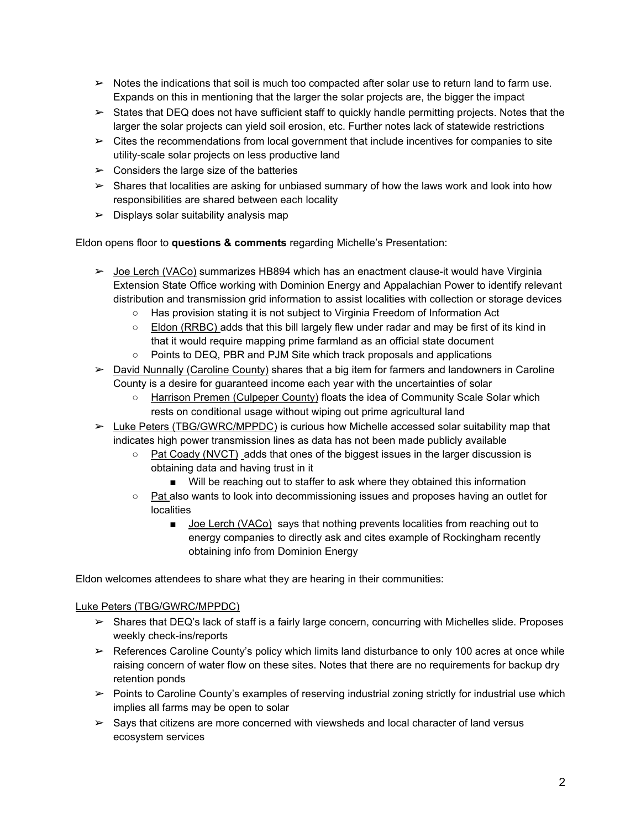- $\triangleright$  Notes the indications that soil is much too compacted after solar use to return land to farm use. Expands on this in mentioning that the larger the solar projects are, the bigger the impact
- $\triangleright$  States that DEQ does not have sufficient staff to quickly handle permitting projects. Notes that the larger the solar projects can yield soil erosion, etc. Further notes lack of statewide restrictions
- $\triangleright$  Cites the recommendations from local government that include incentives for companies to site utility-scale solar projects on less productive land
- $\geq$  Considers the large size of the batteries
- $\triangleright$  Shares that localities are asking for unbiased summary of how the laws work and look into how responsibilities are shared between each locality
- $\triangleright$  Displays solar suitability analysis map

Eldon opens floor to **questions & comments** regarding Michelle's Presentation:

- $\triangleright$  Joe Lerch (VACo) summarizes HB894 which has an enactment clause-it would have Virginia Extension State Office working with Dominion Energy and Appalachian Power to identify relevant distribution and transmission grid information to assist localities with collection or storage devices
	- Has provision stating it is not subject to Virginia Freedom of Information Act
	- Eldon (RRBC) adds that this bill largely flew under radar and may be first of its kind in that it would require mapping prime farmland as an official state document
	- Points to DEQ, PBR and PJM Site which track proposals and applications
- $\triangleright$  David Nunnally (Caroline County) shares that a big item for farmers and landowners in Caroline County is a desire for guaranteed income each year with the uncertainties of solar
	- Harrison Premen (Culpeper County) floats the idea of Community Scale Solar which rests on conditional usage without wiping out prime agricultural land
- ➢ Luke Peters (TBG/GWRC/MPPDC) is curious how Michelle accessed solar suitability map that indicates high power transmission lines as data has not been made publicly available
	- Pat Coady (NVCT) adds that ones of the biggest issues in the larger discussion is obtaining data and having trust in it
		- Will be reaching out to staffer to ask where they obtained this information
	- Pat also wants to look into decommissioning issues and proposes having an outlet for localities
		- Joe Lerch (VACo) says that nothing prevents localities from reaching out to energy companies to directly ask and cites example of Rockingham recently obtaining info from Dominion Energy

Eldon welcomes attendees to share what they are hearing in their communities:

#### Luke Peters (TBG/GWRC/MPPDC)

- $\triangleright$  Shares that DEQ's lack of staff is a fairly large concern, concurring with Michelles slide. Proposes weekly check-ins/reports
- $\triangleright$  References Caroline County's policy which limits land disturbance to only 100 acres at once while raising concern of water flow on these sites. Notes that there are no requirements for backup dry retention ponds
- $\triangleright$  Points to Caroline County's examples of reserving industrial zoning strictly for industrial use which implies all farms may be open to solar
- $\triangleright$  Says that citizens are more concerned with viewsheds and local character of land versus ecosystem services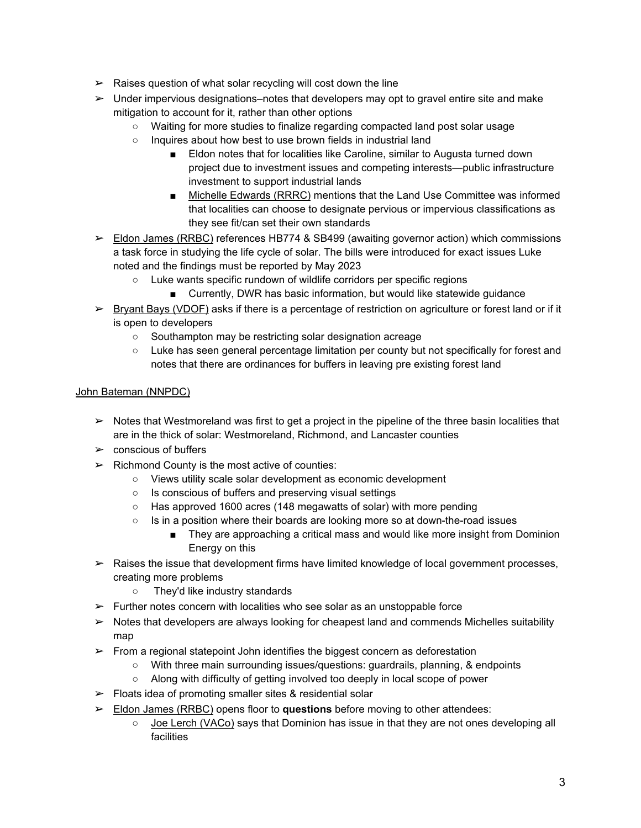- $\triangleright$  Raises question of what solar recycling will cost down the line
- $\triangleright$  Under impervious designations–notes that developers may opt to gravel entire site and make mitigation to account for it, rather than other options
	- Waiting for more studies to finalize regarding compacted land post solar usage
	- Inquires about how best to use brown fields in industrial land
		- Eldon notes that for localities like Caroline, similar to Augusta turned down project due to investment issues and competing interests—public infrastructure investment to support industrial lands
		- Michelle Edwards (RRRC) mentions that the Land Use Committee was informed that localities can choose to designate pervious or impervious classifications as they see fit/can set their own standards
- ➢ Eldon James (RRBC) references HB774 & SB499 (awaiting governor action) which commissions a task force in studying the life cycle of solar. The bills were introduced for exact issues Luke noted and the findings must be reported by May 2023
	- Luke wants specific rundown of wildlife corridors per specific regions
		- Currently, DWR has basic information, but would like statewide guidance
- $\triangleright$  Bryant Bays (VDOF) asks if there is a percentage of restriction on agriculture or forest land or if it is open to developers
	- Southampton may be restricting solar designation acreage
	- Luke has seen general percentage limitation per county but not specifically for forest and notes that there are ordinances for buffers in leaving pre existing forest land

#### John Bateman (NNPDC)

- $\triangleright$  Notes that Westmoreland was first to get a project in the pipeline of the three basin localities that are in the thick of solar: Westmoreland, Richmond, and Lancaster counties
- $\triangleright$  conscious of buffers
- $\triangleright$  Richmond County is the most active of counties:
	- Views utility scale solar development as economic development
	- Is conscious of buffers and preserving visual settings
	- Has approved 1600 acres (148 megawatts of solar) with more pending
	- Is in a position where their boards are looking more so at down-the-road issues
		- They are approaching a critical mass and would like more insight from Dominion Energy on this
- $\triangleright$  Raises the issue that development firms have limited knowledge of local government processes, creating more problems
	- They'd like industry standards
- $\triangleright$  Further notes concern with localities who see solar as an unstoppable force
- $\triangleright$  Notes that developers are always looking for cheapest land and commends Michelles suitability map
- $\triangleright$  From a regional statepoint John identifies the biggest concern as deforestation
	- With three main surrounding issues/questions: guardrails, planning, & endpoints
	- Along with difficulty of getting involved too deeply in local scope of power
- $\triangleright$  Floats idea of promoting smaller sites & residential solar
- ➢ Eldon James (RRBC) opens floor to **questions** before moving to other attendees:
	- Joe Lerch (VACo) says that Dominion has issue in that they are not ones developing all facilities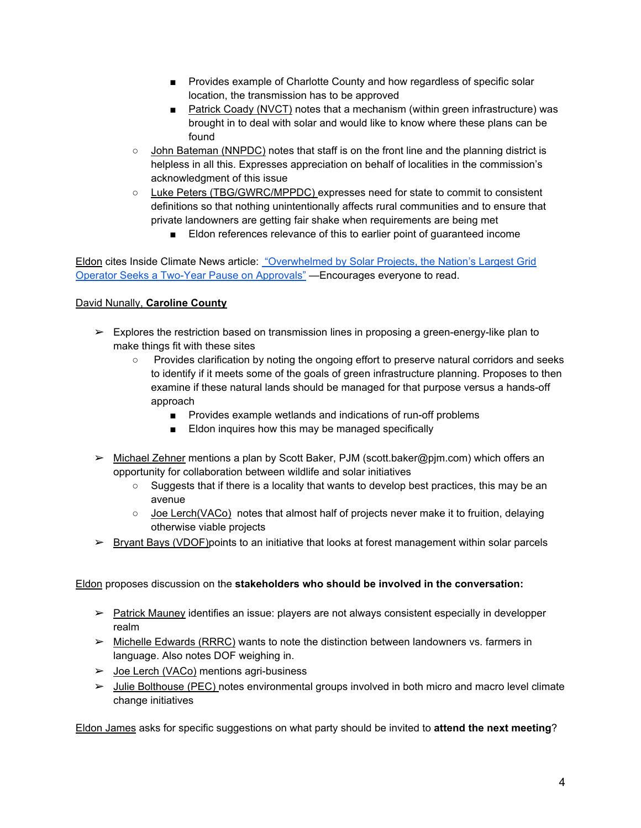- Provides example of Charlotte County and how regardless of specific solar location, the transmission has to be approved
- Patrick Coady (NVCT) notes that a mechanism (within green infrastructure) was brought in to deal with solar and would like to know where these plans can be found
- John Bateman (NNPDC) notes that staff is on the front line and the planning district is helpless in all this. Expresses appreciation on behalf of localities in the commission's acknowledgment of this issue
- Luke Peters (TBG/GWRC/MPPDC) expresses need for state to commit to consistent definitions so that nothing unintentionally affects rural communities and to ensure that private landowners are getting fair shake when requirements are being met
	- Eldon references relevance of this to earlier point of guaranteed income

Eldon cites Inside Climate News article: "Overwhelmed by Solar Projects, the Nation's Largest Grid Operator Seeks a Two-Year Pause on Approvals" —Encourages everyone to read.

### David Nunally, **Caroline County**

- $\triangleright$  Explores the restriction based on transmission lines in proposing a green-energy-like plan to make things fit with these sites
	- Provides clarification by noting the ongoing effort to preserve natural corridors and seeks to identify if it meets some of the goals of green infrastructure planning. Proposes to then examine if these natural lands should be managed for that purpose versus a hands-off approach
		- Provides example wetlands and indications of run-off problems
		- Eldon inquires how this may be managed specifically
- $\triangleright$  Michael Zehner mentions a plan by Scott Baker, PJM (scott.baker@pjm.com) which offers an opportunity for collaboration between wildlife and solar initiatives
	- Suggests that if there is a locality that wants to develop best practices, this may be an avenue
	- Joe Lerch(VACo) notes that almost half of projects never make it to fruition, delaying otherwise viable projects
- $\triangleright$  Bryant Bays (VDOF)points to an initiative that looks at forest management within solar parcels

Eldon proposes discussion on the **stakeholders who should be involved in the conversation:**

- $\triangleright$  Patrick Mauney identifies an issue: players are not always consistent especially in developper realm
- $\triangleright$  Michelle Edwards (RRRC) wants to note the distinction between landowners vs. farmers in language. Also notes DOF weighing in.
- $\geq$  Joe Lerch (VACo) mentions agri-business
- ➢ Julie Bolthouse (PEC) notes environmental groups involved in both micro and macro level climate change initiatives

Eldon James asks for specific suggestions on what party should be invited to **attend the next meeting**?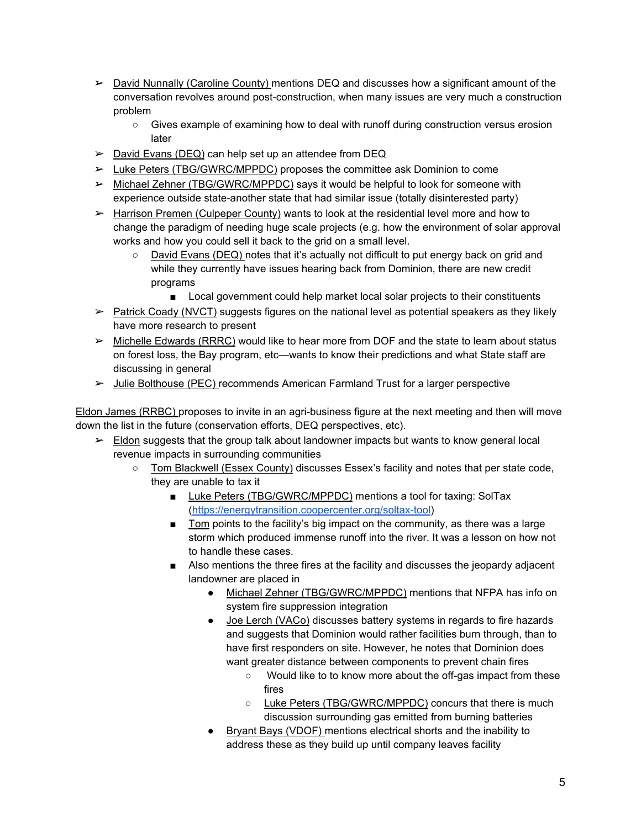- $\triangleright$  David Nunnally (Caroline County) mentions DEQ and discusses how a significant amount of the conversation revolves around post-construction, when many issues are very much a construction problem
	- Gives example of examining how to deal with runoff during construction versus erosion later
- ➢ David Evans (DEQ) can help set up an attendee from DEQ
- ➢ Luke Peters (TBG/GWRC/MPPDC) proposes the committee ask Dominion to come
- $\triangleright$  Michael Zehner (TBG/GWRC/MPPDC) says it would be helpful to look for someone with experience outside state-another state that had similar issue (totally disinterested party)
- $\triangleright$  Harrison Premen (Culpeper County) wants to look at the residential level more and how to change the paradigm of needing huge scale projects (e.g. how the environment of solar approval works and how you could sell it back to the grid on a small level.
	- David Evans (DEQ) notes that it's actually not difficult to put energy back on grid and while they currently have issues hearing back from Dominion, there are new credit programs
		- Local government could help market local solar projects to their constituents
- $\triangleright$  Patrick Coady (NVCT) suggests figures on the national level as potential speakers as they likely have more research to present
- $\triangleright$  Michelle Edwards (RRRC) would like to hear more from DOF and the state to learn about status on forest loss, the Bay program, etc—wants to know their predictions and what State staff are discussing in general
- $\triangleright$  Julie Bolthouse (PEC) recommends American Farmland Trust for a larger perspective

Eldon James (RRBC) proposes to invite in an agri-business figure at the next meeting and then will move down the list in the future (conservation efforts, DEQ perspectives, etc).

- $\triangleright$  Eldon suggests that the group talk about landowner impacts but wants to know general local revenue impacts in surrounding communities
	- Tom Blackwell (Essex County) discusses Essex's facility and notes that per state code, they are unable to tax it
		- Luke Peters (TBG/GWRC/MPPDC) mentions a tool for taxing: SolTax (https://energytransition.coopercenter.org/soltax-tool)
		- Tom points to the facility's big impact on the community, as there was a large storm which produced immense runoff into the river. It was a lesson on how not to handle these cases.
		- Also mentions the three fires at the facility and discusses the jeopardy adjacent landowner are placed in
			- Michael Zehner (TBG/GWRC/MPPDC) mentions that NFPA has info on system fire suppression integration
			- Joe Lerch (VACo) discusses battery systems in regards to fire hazards and suggests that Dominion would rather facilities burn through, than to have first responders on site. However, he notes that Dominion does want greater distance between components to prevent chain fires
				- Would like to to know more about the off-gas impact from these fires
				- Luke Peters (TBG/GWRC/MPPDC) concurs that there is much discussion surrounding gas emitted from burning batteries
			- Bryant Bays (VDOF) mentions electrical shorts and the inability to address these as they build up until company leaves facility